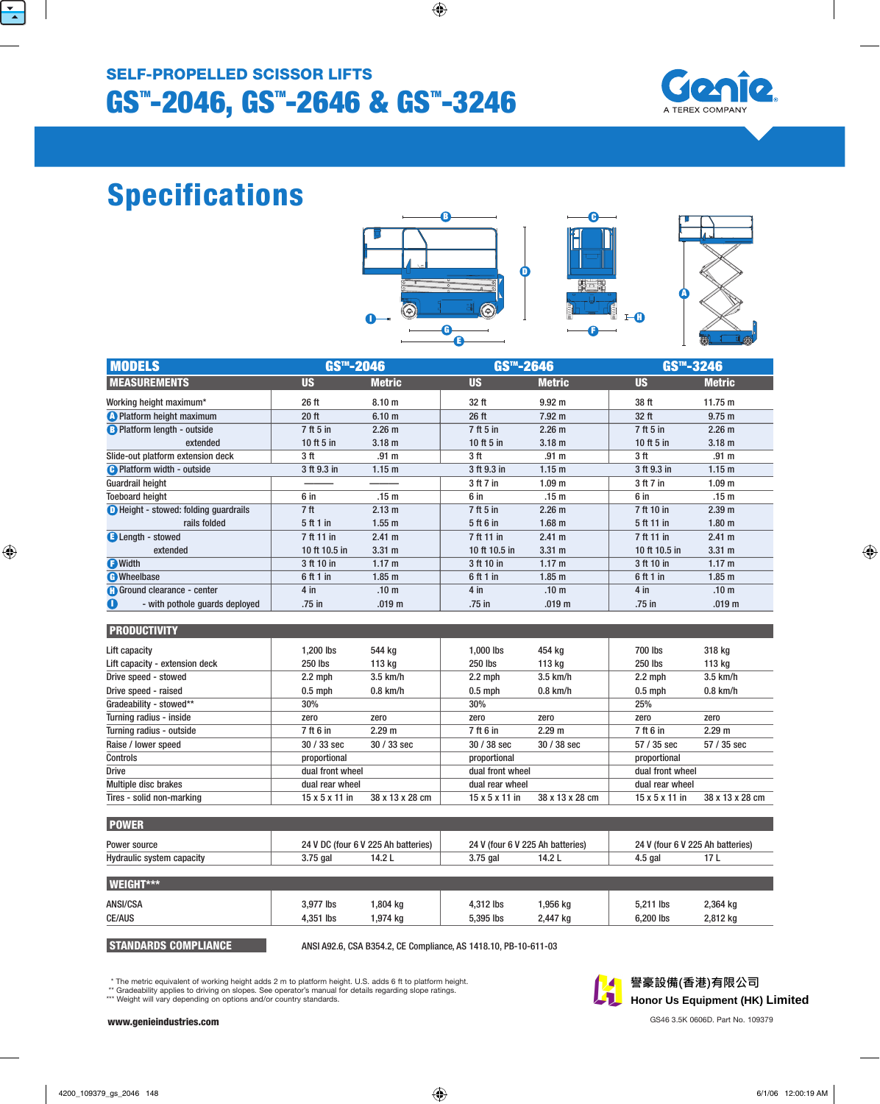

# Specifications







| <b>MODELS</b>                                 | GS <sup>™</sup> -2046 |                   | GS <sup>™</sup> -2646 |                   | GS <sup>™</sup> -3246 |                   |
|-----------------------------------------------|-----------------------|-------------------|-----------------------|-------------------|-----------------------|-------------------|
| <b>MEASUREMENTS</b>                           | <b>US</b>             | <b>Metric</b>     | <b>US</b>             | <b>Metric</b>     | <b>US</b>             | <b>Metric</b>     |
| Working height maximum*                       | 26 ft                 | 8.10 <sub>m</sub> | 32 ft                 | 9.92 <sub>m</sub> | 38 ft                 | 11.75 m           |
| <b>A</b> Platform height maximum              | 20 ft                 | 6.10 <sub>m</sub> | 26 ft                 | $7.92 \text{ m}$  | 32 <sub>ft</sub>      | 9.75 m            |
| <b>B</b> Platform length - outside            | 7 ft 5 in             | 2.26 m            | $7ft5$ in             | 2.26 m            | 7 ft 5 in             | 2.26 m            |
| extended                                      | 10 ft $5$ in          | 3.18 <sub>m</sub> | 10 ft $5$ in          | 3.18 <sub>m</sub> | 10 ft $5$ in          | 3.18 <sub>m</sub> |
| Slide-out platform extension deck             | 3 ft                  | .91 m             | 3 ft                  | .91 m             | 3 ft                  | .91 m             |
| <b>B</b> Platform width - outside             | 3 ft 9.3 in           | 1.15 <sub>m</sub> | 3 ft 9.3 in           | 1.15 <sub>m</sub> | 3 ft 9.3 in           | 1.15 <sub>m</sub> |
| <b>Guardrail height</b>                       |                       |                   | 3 ft 7 in             | 1.09 <sub>m</sub> | 3 ft 7 in             | 1.09 <sub>m</sub> |
| <b>Toeboard height</b>                        | 6 in                  | .15 <sub>m</sub>  | 6 in                  | .15 m             | 6 in                  | .15 m             |
| <b>D</b> Height - stowed: folding guardrails  | 7 <sub>ft</sub>       | 2.13 m            | 7 ft 5 in             | 2.26 m            | 7 ft 10 in            | 2.39 m            |
| rails folded                                  | 5 ft 1 in             | $1.55$ m          | 5 ft 6 in             | $1.68$ m          | 5 ft 11 in            | 1.80 <sub>m</sub> |
| <b>B</b> Length - stowed                      | 7 ft 11 in            | 2.41 m            | 7 ft 11 in            | 2.41 m            | 7 ft 11 in            | $2.41 \text{ m}$  |
| extended                                      | 10 ft 10.5 in         | $3.31 \text{ m}$  | 10 ft 10.5 in         | $3.31 \text{ m}$  | 10 ft 10.5 in         | $3.31 \text{ m}$  |
| <b>O</b> Width                                | 3 ft 10 in            | 1.17 m            | 3 ft 10 in            | 1.17 m            | 3 ft 10 in            | 1.17 m            |
| <b>C</b> Wheelbase                            | 6ft1in                | 1.85 <sub>m</sub> | 6 ft 1 in             | 1.85 <sub>m</sub> | 6 ft 1 in             | 1.85 <sub>m</sub> |
| <b>Contract Ground clearance - center</b>     | $4$ in                | .10 <sub>m</sub>  | $4$ in                | .10 <sub>m</sub>  | $4$ in                | .10 <sub>m</sub>  |
| $\mathbf 0$<br>- with pothole quards deployed | .75 in                | .019 <sub>m</sub> | .75 in                | .019 <sub>m</sub> | .75 in                | .019 <sub>m</sub> |

## **PRODUCTIVITY**

| Lift capacity                  | 1.200 lbs                  | 544 kg          | 1.000 lbs                  | 454 kg          | 700 lbs                    | 318 kg          |
|--------------------------------|----------------------------|-----------------|----------------------------|-----------------|----------------------------|-----------------|
| Lift capacity - extension deck | 250 lbs                    | 113 kg          | 250 lbs                    | 113 ka          | 250 lbs                    | 113 kg          |
| Drive speed - stowed           | $2.2$ mph                  | $3.5$ km/h      | $2.2 \text{ mph}$          | $3.5$ km/h      | $2.2$ mph                  | $3.5$ km/h      |
| Drive speed - raised           | $0.5$ mph                  | $0.8$ km/h      | $0.5$ mph                  | $0.8$ km/h      | $0.5$ mph                  | $0.8$ km/h      |
| Gradeability - stowed**        | 30%                        |                 | 30%                        |                 | 25%                        |                 |
| Turning radius - inside        | zero                       | zero            | zero                       | zero            | zero                       | zero            |
| Turning radius - outside       | 7 ft 6 in                  | 2.29 m          | 7 ft 6 in                  | 2.29 m          | 7 ft 6 in                  | 2.29 m          |
| Raise / lower speed            | $30/33$ sec                | $30/33$ sec     | $30/38$ sec                | $30/38$ sec     | $57/35$ sec                | 57 / 35 sec     |
| Controls                       | proportional               |                 | proportional               |                 | proportional               |                 |
| <b>Drive</b>                   | dual front wheel           |                 | dual front wheel           |                 | dual front wheel           |                 |
| Multiple disc brakes           | dual rear wheel            |                 | dual rear wheel            |                 | dual rear wheel            |                 |
| Tires - solid non-marking      | $15 \times 5 \times 11$ in | 38 x 13 x 28 cm | $15 \times 5 \times 11$ in | 38 x 13 x 28 cm | $15 \times 5 \times 11$ in | 38 x 13 x 28 cm |

| <b>POWER</b>                     |                                     |                                  |                                  |  |  |  |
|----------------------------------|-------------------------------------|----------------------------------|----------------------------------|--|--|--|
| Power source                     | 24 V DC (four 6 V 225 Ah batteries) | 24 V (four 6 V 225 Ah batteries) | 24 V (four 6 V 225 Ah batteries) |  |  |  |
| <b>Hydraulic system capacity</b> | 14.2 L<br>3.75 gal                  | 14.2 L<br>$3.75$ gal             | 4.5 gal                          |  |  |  |
|                                  |                                     |                                  |                                  |  |  |  |

| <b>WEIGHT***</b> |           |          |           |          |           |          |
|------------------|-----------|----------|-----------|----------|-----------|----------|
| ANSI/CSA         | 3,977 lbs | 1,804 kg | 4.312 lbs | ,956 kg  | 5,211 lbs | 2,364 kg |
| <b>CE/AUS</b>    | 4.351 lbs | 1,974 kg | 5.395 lbs | 2,447 kg | 6.200 lbs | 2,812 kg |

STANDARDS COMPLIANCE ANSI A92.6, CSA B354.2, CE Compliance, AS 1418.10, PB-10-611-03

\* The metric equivalent of working height adds 2 m to platform height. U.S. adds 6 ft to platform height. \*\* Gradeability applies to driving on slopes. See operator's manual for details regarding slope ratings.

\*\*\* Weight will vary depending on options and/or country standards.